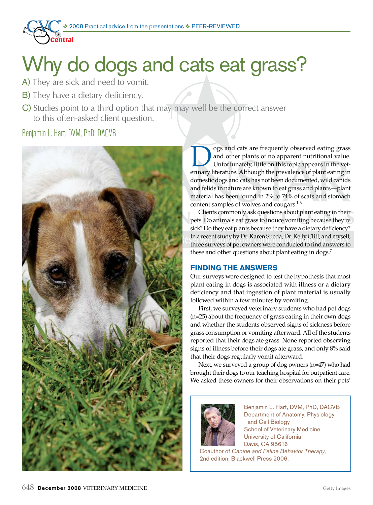

# Why do dogs and cats eat grass?

- A) They are sick and need to vomit.
- B) They have a dietary deficiency.
- C) Studies point to a third option that may may well be the correct answer to this often-asked client question.

## Benjamin L. Hart, DVM, PhD, DACVB



ogs and cats are frequently observed eating grass and other plants of no apparent nutritional value. Unfortunately, little on this topic appears in the veterinary literature. Although the prevalence of plant eating in domestic dogs and cats has not been documented, wild canids and felids in nature are known to eat grass and plants—plant material has been found in 2% to 74% of scats and stomach content samples of wolves and cougars.<sup>1-6</sup>

Clients commonly ask questions about plant eating in their pets: Do animals eat grass to induce vomiting because they're sick? Do they eat plants because they have a dietary deficiency? In a recent study by Dr. Karen Sueda, Dr. Kelly Cliff, and myself, three surveys of pet owners were conducted to find answers to these and other questions about plant eating in dogs.<sup>7</sup>

### **FINDING THE ANSWERS**

Our surveys were designed to test the hypothesis that most plant eating in dogs is associated with illness or a dietary deficiency and that ingestion of plant material is usually followed within a few minutes by vomiting.

First, we surveyed veterinary students who had pet dogs (n=25) about the frequency of grass eating in their own dogs and whether the students observed signs of sickness before grass consumption or vomiting afterward. All of the students reported that their dogs ate grass. None reported observing signs of illness before their dogs ate grass, and only 8% said that their dogs regularly vomit afterward.

Next, we surveyed a group of dog owners (n=47) who had brought their dogs to our teaching hospital for outpatient care. We asked these owners for their observations on their pets'



Benjamin L. Hart, DVM, PhD, DACVB Department of Anatomy, Physiology and Cell Biology School of Veterinary Medicine University of California Davis, CA 95616

Coauthor of *Canine and Feline Behavior Therapy*, 2nd edition, Blackwell Press 2006.